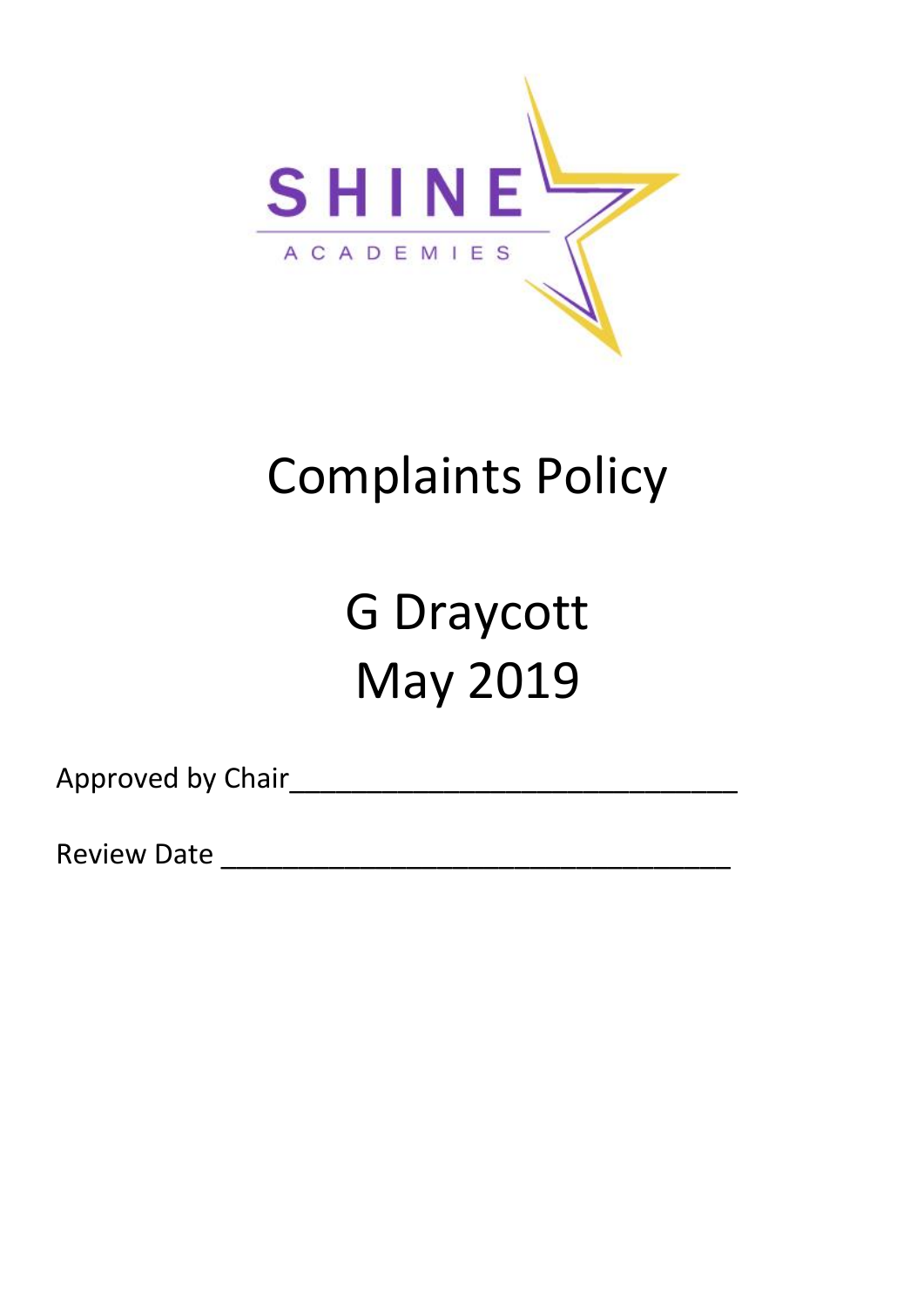

# Complaints Policy

# G Draycott May 2019

Approved by Chair\_\_\_\_\_\_\_\_\_\_\_\_\_\_\_\_\_\_\_\_\_\_\_\_\_\_\_\_\_

Review Date \_\_\_\_\_\_\_\_\_\_\_\_\_\_\_\_\_\_\_\_\_\_\_\_\_\_\_\_\_\_\_\_\_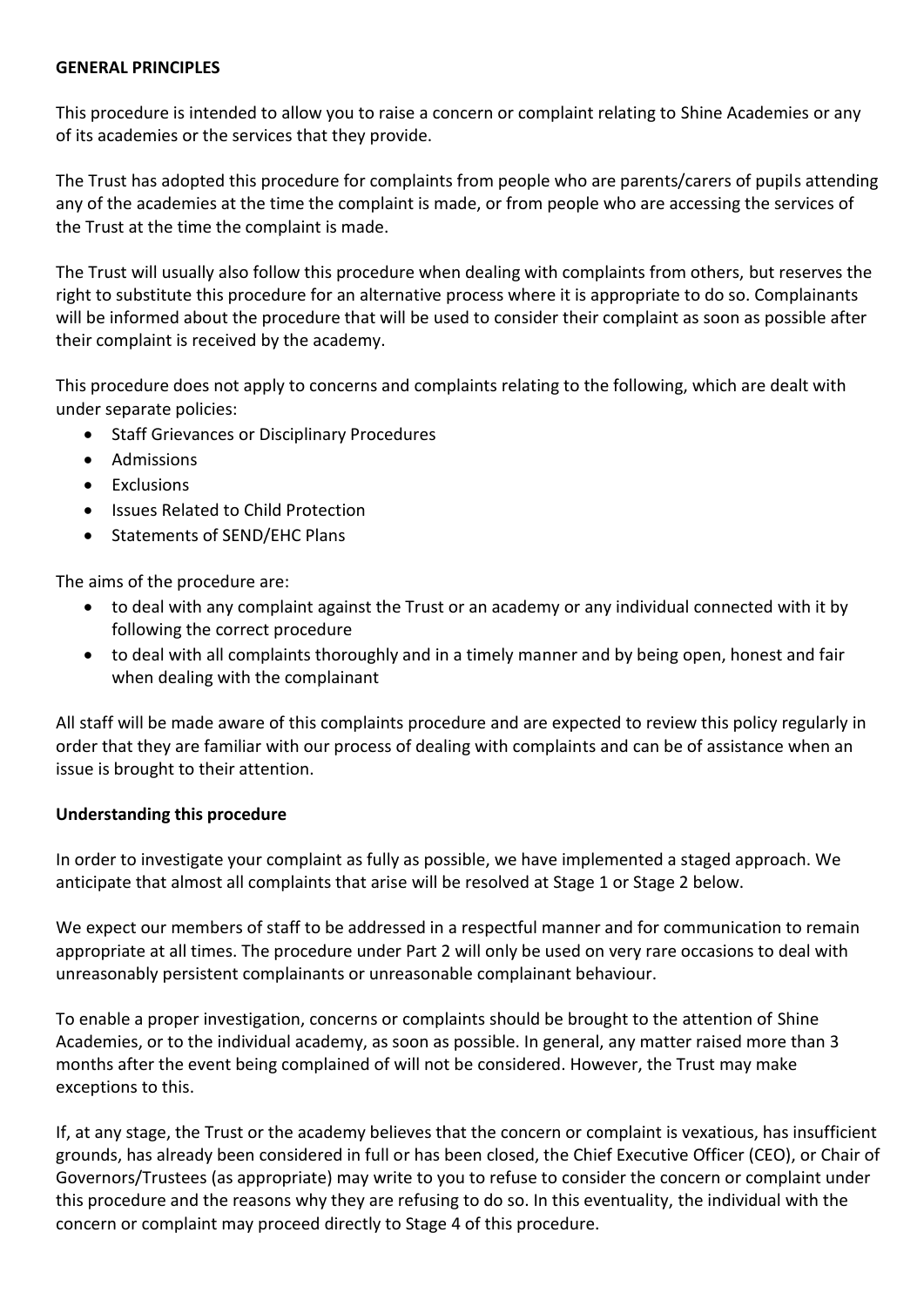#### **GENERAL PRINCIPLES**

This procedure is intended to allow you to raise a concern or complaint relating to Shine Academies or any of its academies or the services that they provide.

The Trust has adopted this procedure for complaints from people who are parents/carers of pupils attending any of the academies at the time the complaint is made, or from people who are accessing the services of the Trust at the time the complaint is made.

The Trust will usually also follow this procedure when dealing with complaints from others, but reserves the right to substitute this procedure for an alternative process where it is appropriate to do so. Complainants will be informed about the procedure that will be used to consider their complaint as soon as possible after their complaint is received by the academy.

This procedure does not apply to concerns and complaints relating to the following, which are dealt with under separate policies:

- Staff Grievances or Disciplinary Procedures
- Admissions
- Exclusions
- Issues Related to Child Protection
- Statements of SEND/EHC Plans

The aims of the procedure are:

- to deal with any complaint against the Trust or an academy or any individual connected with it by following the correct procedure
- to deal with all complaints thoroughly and in a timely manner and by being open, honest and fair when dealing with the complainant

All staff will be made aware of this complaints procedure and are expected to review this policy regularly in order that they are familiar with our process of dealing with complaints and can be of assistance when an issue is brought to their attention.

#### **Understanding this procedure**

In order to investigate your complaint as fully as possible, we have implemented a staged approach. We anticipate that almost all complaints that arise will be resolved at Stage 1 or Stage 2 below.

We expect our members of staff to be addressed in a respectful manner and for communication to remain appropriate at all times. The procedure under Part 2 will only be used on very rare occasions to deal with unreasonably persistent complainants or unreasonable complainant behaviour.

To enable a proper investigation, concerns or complaints should be brought to the attention of Shine Academies, or to the individual academy, as soon as possible. In general, any matter raised more than 3 months after the event being complained of will not be considered. However, the Trust may make exceptions to this.

If, at any stage, the Trust or the academy believes that the concern or complaint is vexatious, has insufficient grounds, has already been considered in full or has been closed, the Chief Executive Officer (CEO), or Chair of Governors/Trustees (as appropriate) may write to you to refuse to consider the concern or complaint under this procedure and the reasons why they are refusing to do so. In this eventuality, the individual with the concern or complaint may proceed directly to Stage 4 of this procedure.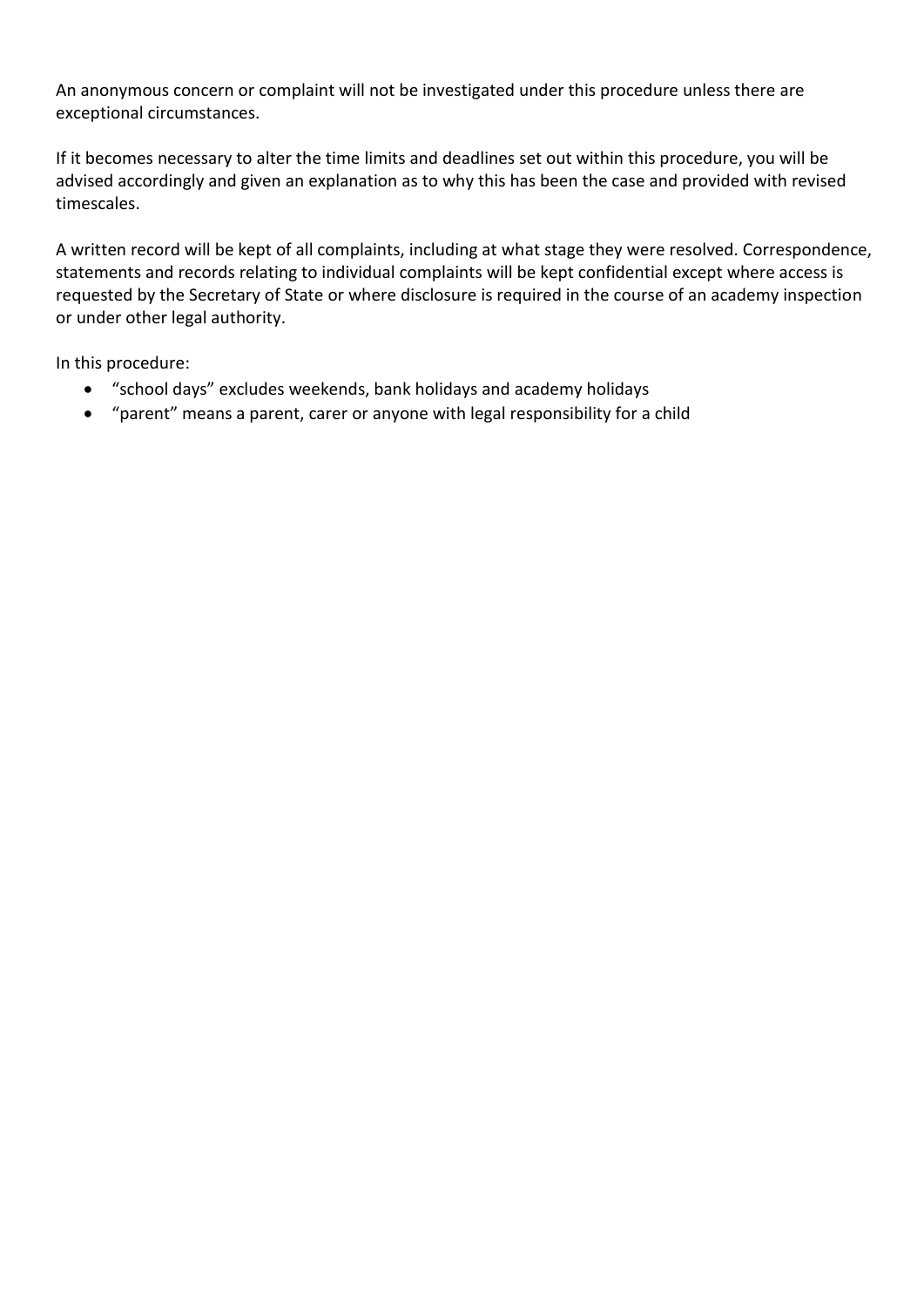An anonymous concern or complaint will not be investigated under this procedure unless there are exceptional circumstances.

If it becomes necessary to alter the time limits and deadlines set out within this procedure, you will be advised accordingly and given an explanation as to why this has been the case and provided with revised timescales.

A written record will be kept of all complaints, including at what stage they were resolved. Correspondence, statements and records relating to individual complaints will be kept confidential except where access is requested by the Secretary of State or where disclosure is required in the course of an academy inspection or under other legal authority.

In this procedure:

- "school days" excludes weekends, bank holidays and academy holidays
- "parent" means a parent, carer or anyone with legal responsibility for a child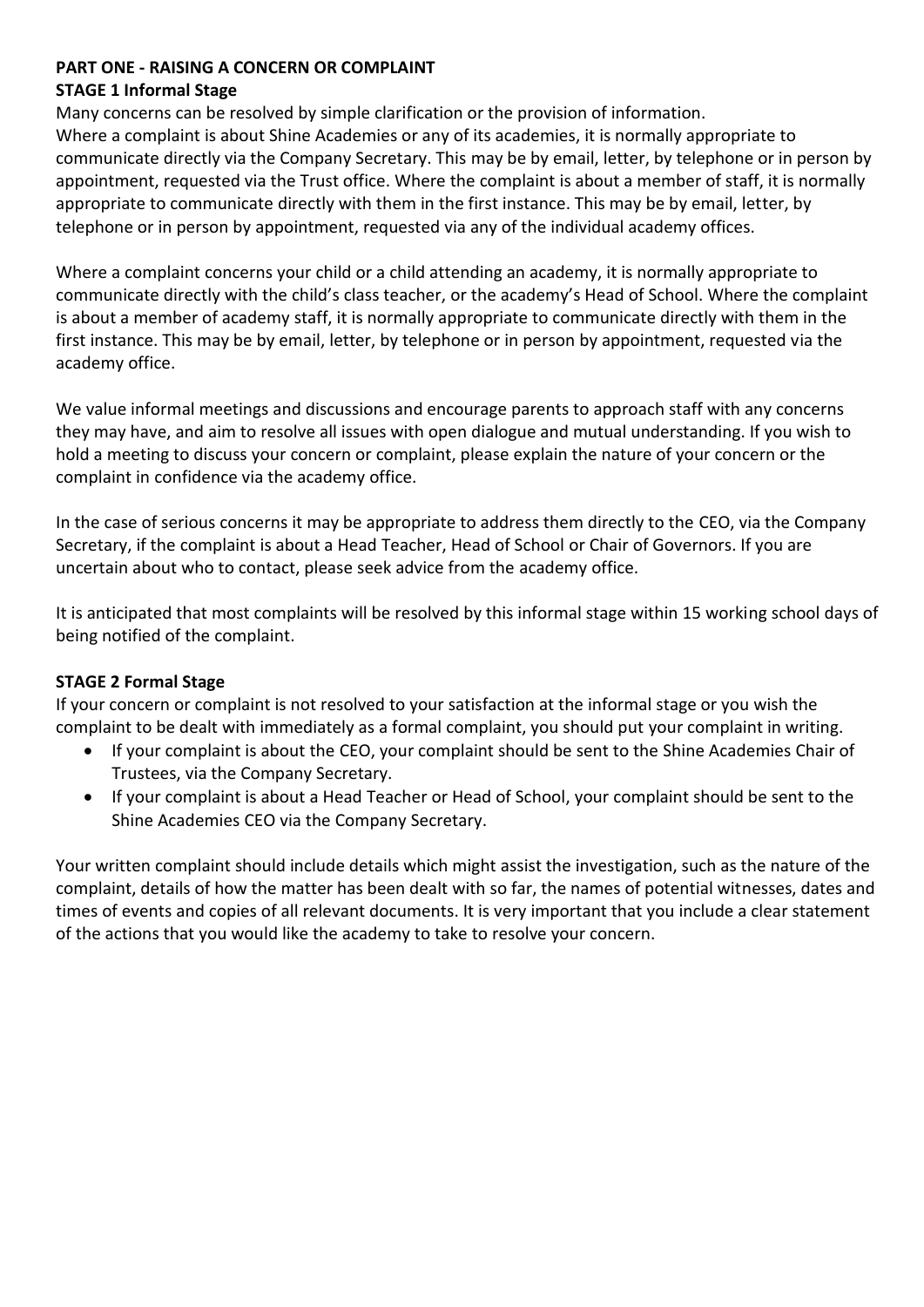### **PART ONE - RAISING A CONCERN OR COMPLAINT**

#### **STAGE 1 Informal Stage**

Many concerns can be resolved by simple clarification or the provision of information. Where a complaint is about Shine Academies or any of its academies, it is normally appropriate to communicate directly via the Company Secretary. This may be by email, letter, by telephone or in person by appointment, requested via the Trust office. Where the complaint is about a member of staff, it is normally appropriate to communicate directly with them in the first instance. This may be by email, letter, by telephone or in person by appointment, requested via any of the individual academy offices.

Where a complaint concerns your child or a child attending an academy, it is normally appropriate to communicate directly with the child's class teacher, or the academy's Head of School. Where the complaint is about a member of academy staff, it is normally appropriate to communicate directly with them in the first instance. This may be by email, letter, by telephone or in person by appointment, requested via the academy office.

We value informal meetings and discussions and encourage parents to approach staff with any concerns they may have, and aim to resolve all issues with open dialogue and mutual understanding. If you wish to hold a meeting to discuss your concern or complaint, please explain the nature of your concern or the complaint in confidence via the academy office.

In the case of serious concerns it may be appropriate to address them directly to the CEO, via the Company Secretary, if the complaint is about a Head Teacher, Head of School or Chair of Governors. If you are uncertain about who to contact, please seek advice from the academy office.

It is anticipated that most complaints will be resolved by this informal stage within 15 working school days of being notified of the complaint.

# **STAGE 2 Formal Stage**

If your concern or complaint is not resolved to your satisfaction at the informal stage or you wish the complaint to be dealt with immediately as a formal complaint, you should put your complaint in writing.

- If your complaint is about the CEO, your complaint should be sent to the Shine Academies Chair of Trustees, via the Company Secretary.
- If your complaint is about a Head Teacher or Head of School, your complaint should be sent to the Shine Academies CEO via the Company Secretary.

Your written complaint should include details which might assist the investigation, such as the nature of the complaint, details of how the matter has been dealt with so far, the names of potential witnesses, dates and times of events and copies of all relevant documents. It is very important that you include a clear statement of the actions that you would like the academy to take to resolve your concern.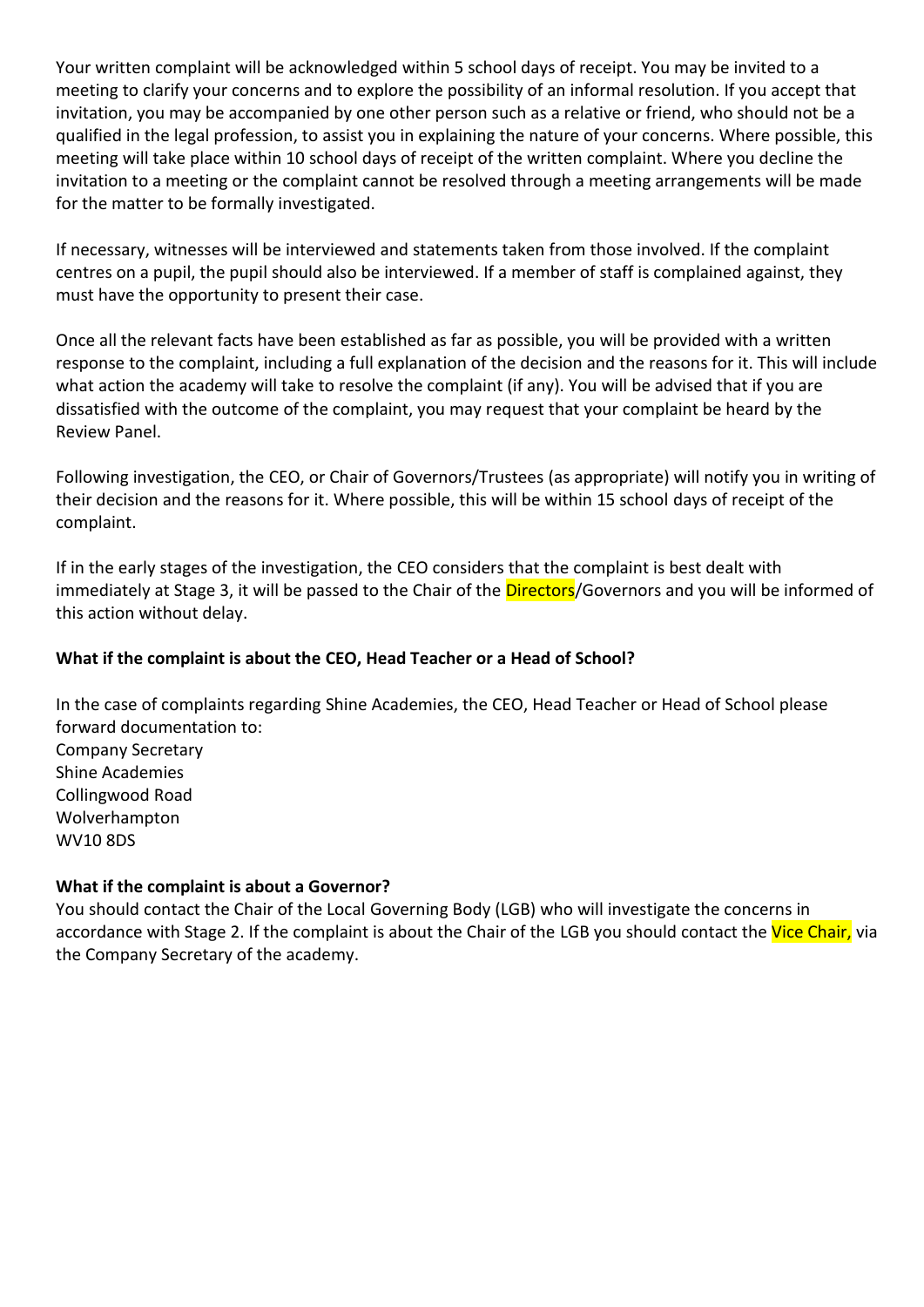Your written complaint will be acknowledged within 5 school days of receipt. You may be invited to a meeting to clarify your concerns and to explore the possibility of an informal resolution. If you accept that invitation, you may be accompanied by one other person such as a relative or friend, who should not be a qualified in the legal profession, to assist you in explaining the nature of your concerns. Where possible, this meeting will take place within 10 school days of receipt of the written complaint. Where you decline the invitation to a meeting or the complaint cannot be resolved through a meeting arrangements will be made for the matter to be formally investigated.

If necessary, witnesses will be interviewed and statements taken from those involved. If the complaint centres on a pupil, the pupil should also be interviewed. If a member of staff is complained against, they must have the opportunity to present their case.

Once all the relevant facts have been established as far as possible, you will be provided with a written response to the complaint, including a full explanation of the decision and the reasons for it. This will include what action the academy will take to resolve the complaint (if any). You will be advised that if you are dissatisfied with the outcome of the complaint, you may request that your complaint be heard by the Review Panel.

Following investigation, the CEO, or Chair of Governors/Trustees (as appropriate) will notify you in writing of their decision and the reasons for it. Where possible, this will be within 15 school days of receipt of the complaint.

If in the early stages of the investigation, the CEO considers that the complaint is best dealt with immediately at Stage 3, it will be passed to the Chair of the Directors/Governors and you will be informed of this action without delay.

# **What if the complaint is about the CEO, Head Teacher or a Head of School?**

In the case of complaints regarding Shine Academies, the CEO, Head Teacher or Head of School please forward documentation to: Company Secretary Shine Academies Collingwood Road Wolverhampton WV10 8DS

# **What if the complaint is about a Governor?**

You should contact the Chair of the Local Governing Body (LGB) who will investigate the concerns in accordance with Stage 2. If the complaint is about the Chair of the LGB you should contact the Vice Chair, via the Company Secretary of the academy.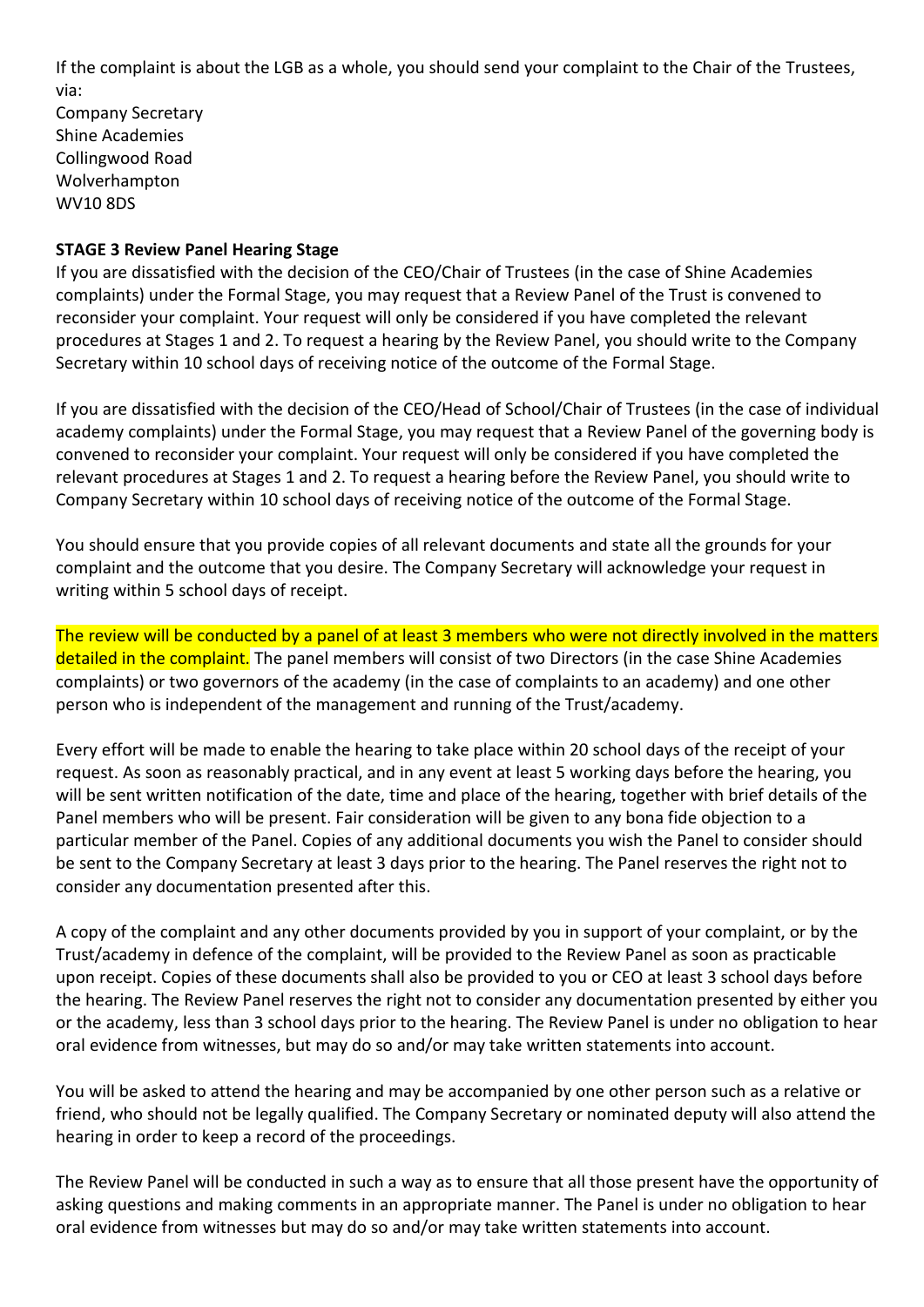If the complaint is about the LGB as a whole, you should send your complaint to the Chair of the Trustees, via:

Company Secretary Shine Academies Collingwood Road Wolverhampton WV10 8DS

#### **STAGE 3 Review Panel Hearing Stage**

If you are dissatisfied with the decision of the CEO/Chair of Trustees (in the case of Shine Academies complaints) under the Formal Stage, you may request that a Review Panel of the Trust is convened to reconsider your complaint. Your request will only be considered if you have completed the relevant procedures at Stages 1 and 2. To request a hearing by the Review Panel, you should write to the Company Secretary within 10 school days of receiving notice of the outcome of the Formal Stage.

If you are dissatisfied with the decision of the CEO/Head of School/Chair of Trustees (in the case of individual academy complaints) under the Formal Stage, you may request that a Review Panel of the governing body is convened to reconsider your complaint. Your request will only be considered if you have completed the relevant procedures at Stages 1 and 2. To request a hearing before the Review Panel, you should write to Company Secretary within 10 school days of receiving notice of the outcome of the Formal Stage.

You should ensure that you provide copies of all relevant documents and state all the grounds for your complaint and the outcome that you desire. The Company Secretary will acknowledge your request in writing within 5 school days of receipt.

The review will be conducted by a panel of at least 3 members who were not directly involved in the matters detailed in the complaint. The panel members will consist of two Directors (in the case Shine Academies complaints) or two governors of the academy (in the case of complaints to an academy) and one other person who is independent of the management and running of the Trust/academy.

Every effort will be made to enable the hearing to take place within 20 school days of the receipt of your request. As soon as reasonably practical, and in any event at least 5 working days before the hearing, you will be sent written notification of the date, time and place of the hearing, together with brief details of the Panel members who will be present. Fair consideration will be given to any bona fide objection to a particular member of the Panel. Copies of any additional documents you wish the Panel to consider should be sent to the Company Secretary at least 3 days prior to the hearing. The Panel reserves the right not to consider any documentation presented after this.

A copy of the complaint and any other documents provided by you in support of your complaint, or by the Trust/academy in defence of the complaint, will be provided to the Review Panel as soon as practicable upon receipt. Copies of these documents shall also be provided to you or CEO at least 3 school days before the hearing. The Review Panel reserves the right not to consider any documentation presented by either you or the academy, less than 3 school days prior to the hearing. The Review Panel is under no obligation to hear oral evidence from witnesses, but may do so and/or may take written statements into account.

You will be asked to attend the hearing and may be accompanied by one other person such as a relative or friend, who should not be legally qualified. The Company Secretary or nominated deputy will also attend the hearing in order to keep a record of the proceedings.

The Review Panel will be conducted in such a way as to ensure that all those present have the opportunity of asking questions and making comments in an appropriate manner. The Panel is under no obligation to hear oral evidence from witnesses but may do so and/or may take written statements into account.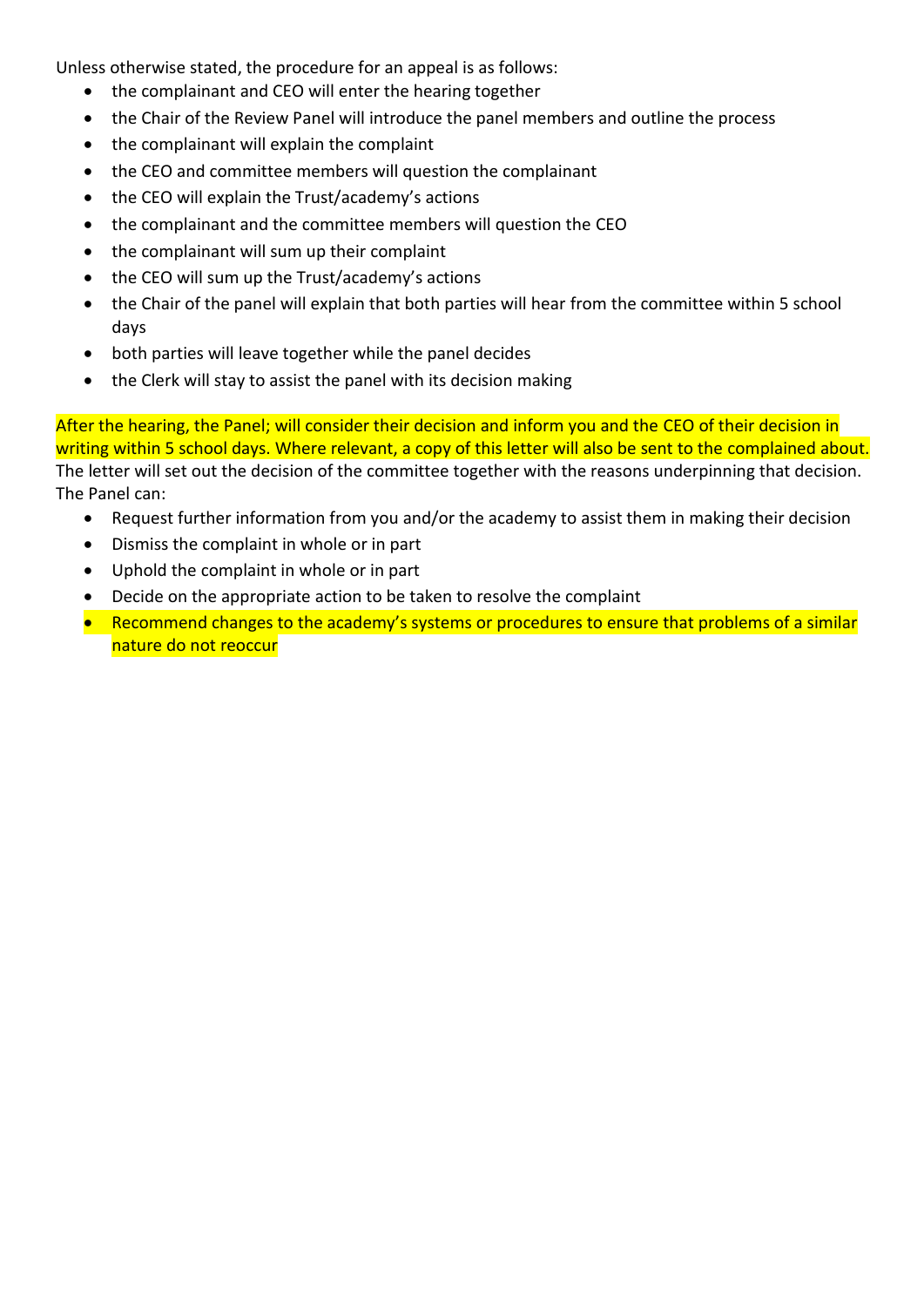Unless otherwise stated, the procedure for an appeal is as follows:

- the complainant and CEO will enter the hearing together
- the Chair of the Review Panel will introduce the panel members and outline the process
- the complainant will explain the complaint
- the CEO and committee members will question the complainant
- the CEO will explain the Trust/academy's actions
- the complainant and the committee members will question the CEO
- the complainant will sum up their complaint
- the CEO will sum up the Trust/academy's actions
- the Chair of the panel will explain that both parties will hear from the committee within 5 school days
- both parties will leave together while the panel decides
- the Clerk will stay to assist the panel with its decision making

After the hearing, the Panel; will consider their decision and inform you and the CEO of their decision in writing within 5 school days. Where relevant, a copy of this letter will also be sent to the complained about. The letter will set out the decision of the committee together with the reasons underpinning that decision. The Panel can:

- Request further information from you and/or the academy to assist them in making their decision
- Dismiss the complaint in whole or in part
- Uphold the complaint in whole or in part
- Decide on the appropriate action to be taken to resolve the complaint
- Recommend changes to the academy's systems or procedures to ensure that problems of a similar nature do not reoccur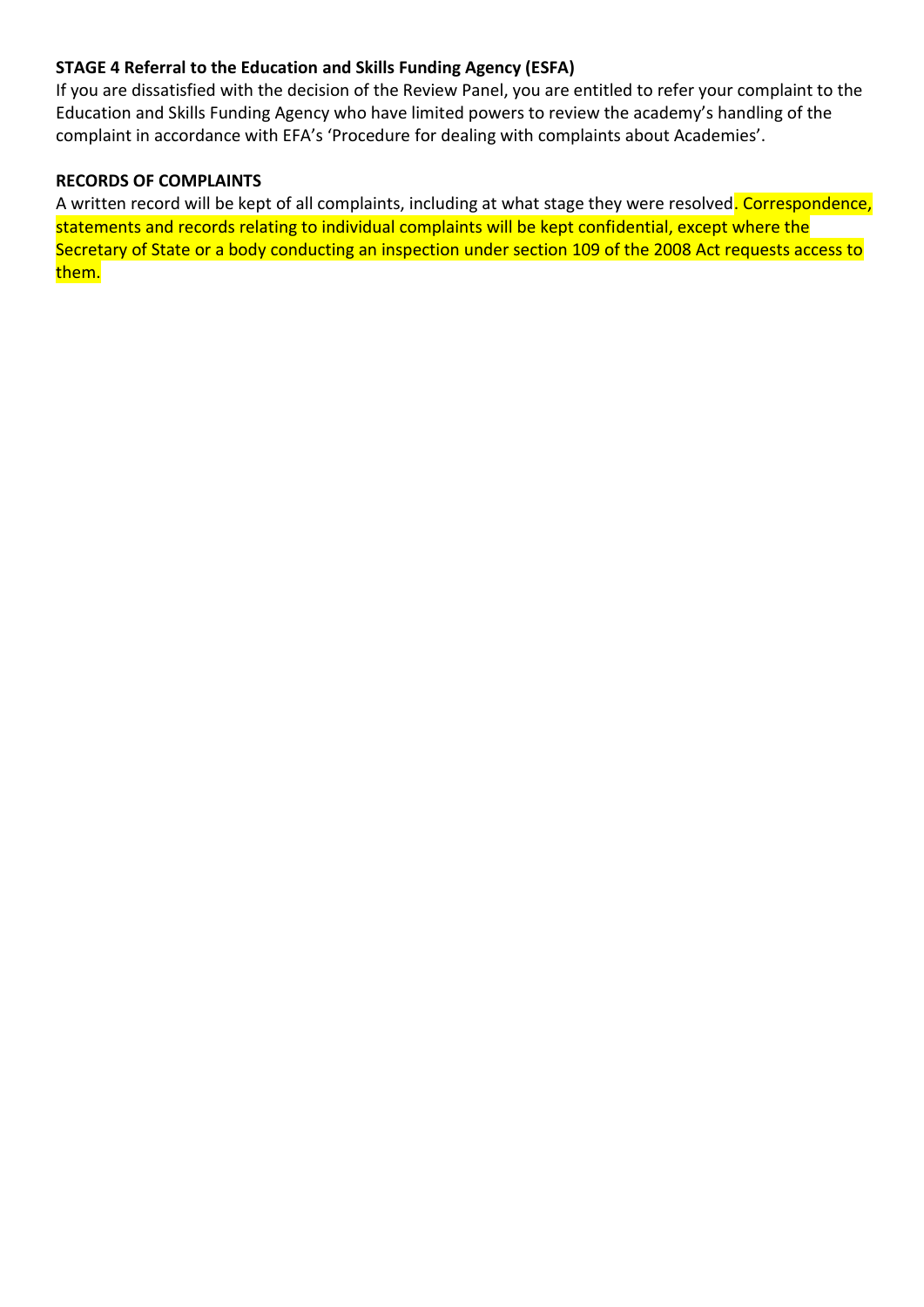# **STAGE 4 Referral to the Education and Skills Funding Agency (ESFA)**

If you are dissatisfied with the decision of the Review Panel, you are entitled to refer your complaint to the Education and Skills Funding Agency who have limited powers to review the academy's handling of the complaint in accordance with EFA's 'Procedure for dealing with complaints about Academies'.

#### **RECORDS OF COMPLAINTS**

A written record will be kept of all complaints, including at what stage they were resolved. Correspondence, statements and records relating to individual complaints will be kept confidential, except where the Secretary of State or a body conducting an inspection under section 109 of the 2008 Act requests access to them.